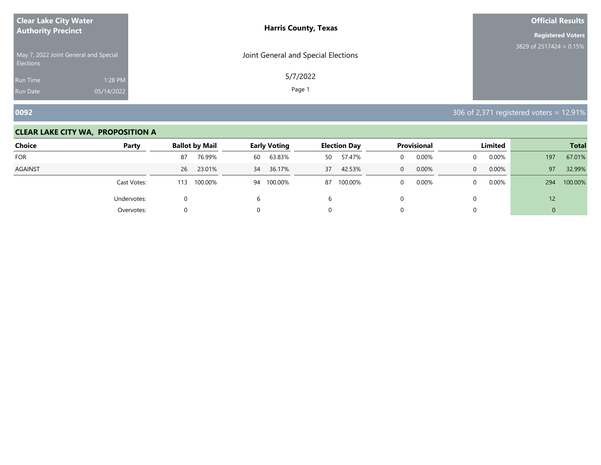| <b>Clear Lake City Water</b>                              | <b>Harris County, Texas</b>         | <b>Official Results</b>    |
|-----------------------------------------------------------|-------------------------------------|----------------------------|
| <b>Authority Precinct</b>                                 |                                     | <b>Registered Voters</b>   |
| May 7, 2022 Joint General and Special<br><b>Elections</b> | Joint General and Special Elections | 3829 of 2517424 = $0.15\%$ |
| 1:28 PM<br><b>Run Time</b>                                | 5/7/2022                            |                            |
| 05/14/2022<br><b>Run Date</b>                             | Page 1                              |                            |

**0092** 306 of 2,371 registered voters = 12.91%

| <b>Choice</b> | Party       | <b>Ballot by Mail</b> | <b>Early Voting</b> |    | <b>Election Day</b> |              | <b>Provisional</b> |              | Limited |     | <b>Total</b> |
|---------------|-------------|-----------------------|---------------------|----|---------------------|--------------|--------------------|--------------|---------|-----|--------------|
| <b>FOR</b>    |             | 76.99%<br>87          | 63.83%<br>60        | 50 | 57.47%              |              | 0.00%              | 0            | 0.00%   | 197 | 67.01%       |
| AGAINST       |             | 23.01%<br>26          | 36.17%<br>34        | 37 | 42.53%              | $\mathbf{0}$ | 0.00%              | $\mathbf{0}$ | 0.00%   | 97  | 32.99%       |
|               | Cast Votes: | 100.00%<br>113        | 100.00%<br>94       | 87 | 100.00%             |              | 0.00%              | $\Omega$     | 0.00%   | 294 | 100.00%      |
|               | Undervotes: | 0                     | 6                   | h  |                     |              |                    | 0            |         | 12  |              |
|               | Overvotes:  | 0                     | 0                   | U. |                     |              |                    |              |         | 0   |              |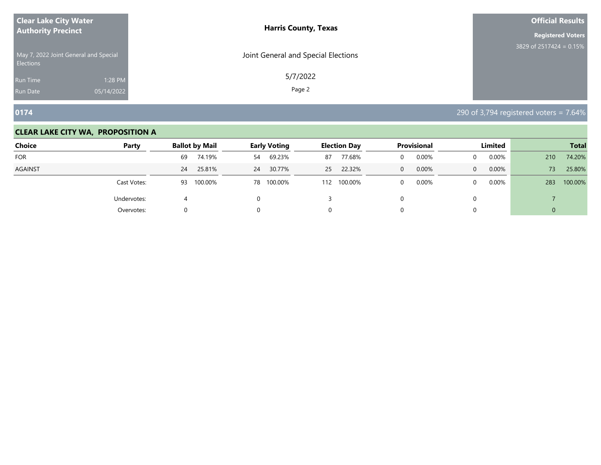| <b>Clear Lake City Water</b>                              | <b>Harris County, Texas</b>         | <b>Official Results</b>    |
|-----------------------------------------------------------|-------------------------------------|----------------------------|
| <b>Authority Precinct</b>                                 |                                     | <b>Registered Voters</b>   |
| May 7, 2022 Joint General and Special<br><b>Elections</b> | Joint General and Special Elections | 3829 of 2517424 = $0.15\%$ |
| 1:28 PM<br><b>Run Time</b>                                | 5/7/2022                            |                            |
| 05/14/2022<br><b>Run Date</b>                             | Page 2                              |                            |

**0174** 290 of 3,794 registered voters = 7.64%

| <b>Choice</b> | Party       | <b>Ballot by Mail</b> |    | <b>Early Voting</b> |     | <b>Election Day</b> |                | <b>Provisional</b> |              | <b>Limited</b> |     | <b>Total</b> |
|---------------|-------------|-----------------------|----|---------------------|-----|---------------------|----------------|--------------------|--------------|----------------|-----|--------------|
| <b>FOR</b>    |             | 74.19%<br>69          | 54 | 69.23%              | 87  | 77.68%              | 0              | 0.00%              | 0            | 0.00%          | 210 | 74.20%       |
| AGAINST       |             | 25.81%<br>24          | 24 | 30.77%              | 25  | 22.32%              | $\overline{0}$ | 0.00%              | $\mathbf{0}$ | 0.00%          | 73. | 25.80%       |
|               | Cast Votes: | 100.00%<br>93         | 78 | 100.00%             | 112 | 100.00%             | 0              | 0.00%              | $\Omega$     | 0.00%          | 283 | 100.00%      |
|               | Undervotes: | ↵                     | 0  |                     |     |                     |                |                    | 0            |                |     |              |
|               | Overvotes:  | 0                     | 0  |                     | U.  |                     |                |                    |              |                | 0   |              |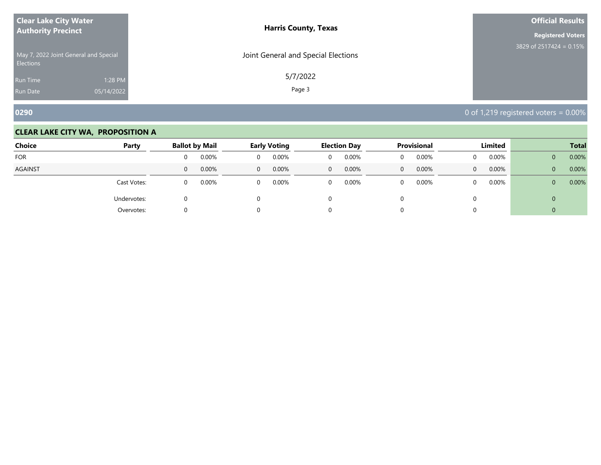| <b>Clear Lake City Water</b>                              | <b>Harris County, Texas</b>         | <b>Official Results</b>    |
|-----------------------------------------------------------|-------------------------------------|----------------------------|
| <b>Authority Precinct</b>                                 |                                     | <b>Registered Voters</b>   |
| May 7, 2022 Joint General and Special<br><b>Elections</b> | Joint General and Special Elections | 3829 of 2517424 = $0.15\%$ |
| 1:28 PM<br><b>Run Time</b>                                | 5/7/2022                            |                            |
| 05/14/2022<br><b>Run Date</b>                             | Page 3                              |                            |

**0290** 0290 **0290 0290 0290 0** of 1,219 registered voters = 0.00%

| <b>Choice</b>  | Party       |   | <b>Ballot by Mail</b> |          | <b>Early Voting</b> |                | <b>Election Day</b> |                | <b>Provisional</b> |             | Limited |                | <b>Total</b> |
|----------------|-------------|---|-----------------------|----------|---------------------|----------------|---------------------|----------------|--------------------|-------------|---------|----------------|--------------|
| <b>FOR</b>     |             | 0 | 0.00%                 | 0        | 0.00%               | 0              | 0.00%               | $\overline{0}$ | 0.00%              | 0           | 0.00%   | $\overline{0}$ | 0.00%        |
| <b>AGAINST</b> |             | 0 | 0.00%                 | $\Omega$ | 0.00%               | $\overline{0}$ | 0.00%               | $\overline{0}$ | 0.00%              | $\mathbf 0$ | 0.00%   | $\overline{0}$ | 0.00%        |
|                | Cast Votes: | 0 | 0.00%                 | $\Omega$ | 0.00%               | 0              | 0.00%               | $\mathbf{0}$   | 0.00%              | 0           | 0.00%   | $\overline{0}$ | 0.00%        |
|                | Undervotes: |   |                       | 0        |                     |                |                     |                |                    |             |         | 0              |              |
|                | Overvotes:  | 0 |                       |          |                     |                |                     |                |                    |             |         |                |              |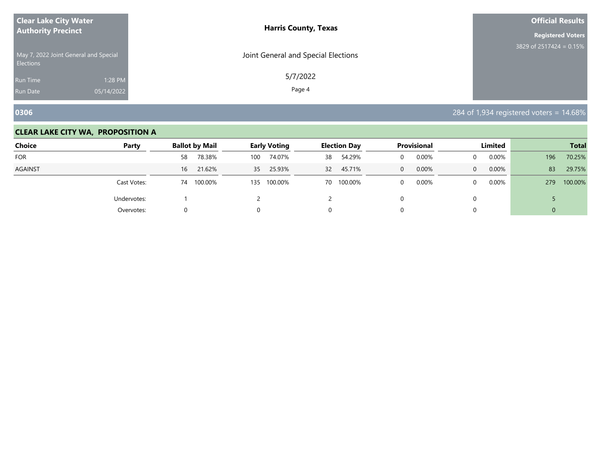| <b>Clear Lake City Water</b>                              | <b>Harris County, Texas</b>         | <b>Official Results</b>    |
|-----------------------------------------------------------|-------------------------------------|----------------------------|
| <b>Authority Precinct</b>                                 |                                     | <b>Registered Voters</b>   |
| May 7, 2022 Joint General and Special<br><b>Elections</b> | Joint General and Special Elections | 3829 of 2517424 = $0.15\%$ |
| 1:28 PM<br><b>Run Time</b>                                | 5/7/2022                            |                            |
| 05/14/2022<br><b>Run Date</b>                             | Page 4                              |                            |

**0306** 284 of 1,934 registered voters = 14.68%

| <b>Choice</b>  | Party       | <b>Ballot by Mail</b> |     | <b>Early Voting</b> |                 | <b>Election Day</b> |          | <b>Provisional</b> |              | Limited  |     | <b>Total</b> |
|----------------|-------------|-----------------------|-----|---------------------|-----------------|---------------------|----------|--------------------|--------------|----------|-----|--------------|
| FOR            |             | 78.38%<br>58          | 100 | 74.07%              | 38              | 54.29%              |          | 0.00%              | $\Omega$     | 0.00%    | 196 | 70.25%       |
| <b>AGAINST</b> |             | 21.62%<br>16          | 35  | 25.93%              | 32 <sup>2</sup> | 45.71%              | $\Omega$ | 0.00%              | $\mathbf{0}$ | 0.00%    | 83  | 29.75%       |
|                | Cast Votes: | 100.00%<br>74         | 135 | 100.00%             |                 | 70 100.00%          |          | 0.00%              | $\Omega$     | $0.00\%$ | 279 | 100.00%      |
|                | Undervotes: |                       |     |                     |                 |                     |          |                    |              |          |     |              |
|                | Overvotes:  |                       |     |                     |                 |                     |          |                    |              |          | U   |              |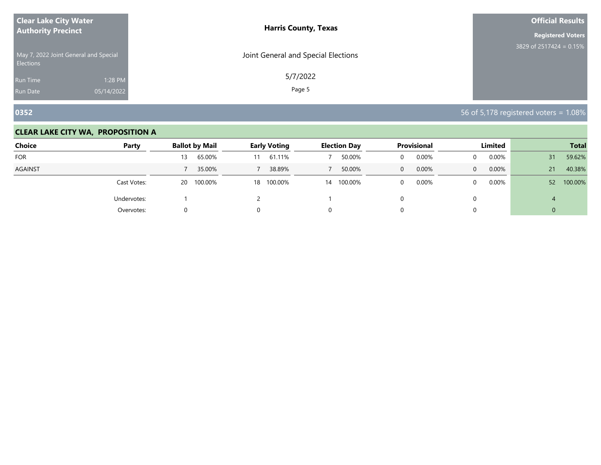| <b>Clear Lake City Water</b>                              | <b>Harris County, Texas</b>         | <b>Official Results</b>    |
|-----------------------------------------------------------|-------------------------------------|----------------------------|
| <b>Authority Precinct</b>                                 |                                     | <b>Registered Voters</b>   |
| May 7, 2022 Joint General and Special<br><b>Elections</b> | Joint General and Special Elections | 3829 of 2517424 = $0.15\%$ |
| 1:28 PM<br><b>Run Time</b>                                | 5/7/2022                            |                            |
| 05/14/2022<br><b>Run Date</b>                             | Page 5                              |                            |

**0352** 56 of 5,178 registered voters = 1.08%

| <b>Choice</b>  | Party       | <b>Ballot by Mail</b> | <b>Early Voting</b> | <b>Election Day</b> | Provisional           | Limited               | <b>Total</b>               |
|----------------|-------------|-----------------------|---------------------|---------------------|-----------------------|-----------------------|----------------------------|
| <b>FOR</b>     |             | 65.00%<br>13          | 61.11%<br>11        | 50.00%              | 0.00%                 | 0.00%<br>$\Omega$     | 59.62%<br>31               |
| <b>AGAINST</b> |             | 35.00%                | 38.89%              | 50.00%              | 0.00%<br>$\mathbf{0}$ | 0.00%<br>$\mathbf{0}$ | 40.38%<br>21               |
|                | Cast Votes: | 100.00%<br>20         | 18 100.00%          | 14 100.00%          | 0.00%                 | 0.00%<br>$\Omega$     | 100.00%<br>52 <sup>2</sup> |
|                | Undervotes: |                       |                     |                     |                       |                       | 4                          |
|                | Overvotes:  |                       |                     |                     |                       |                       | 0                          |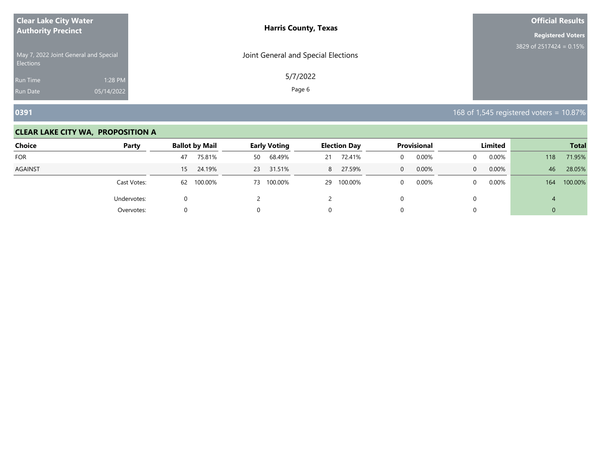| <b>Clear Lake City Water</b>                              | <b>Harris County, Texas</b>         | <b>Official Results</b>    |
|-----------------------------------------------------------|-------------------------------------|----------------------------|
| <b>Authority Precinct</b>                                 |                                     | <b>Registered Voters</b>   |
| May 7, 2022 Joint General and Special<br><b>Elections</b> | Joint General and Special Elections | 3829 of 2517424 = $0.15\%$ |
| 1:28 PM<br><b>Run Time</b>                                | 5/7/2022                            |                            |
| 05/14/2022<br><b>Run Date</b>                             | Page 6                              |                            |

**0391** 168 of 1,545 registered voters = 10.87%

| <b>Choice</b> | Party       | <b>Ballot by Mail</b>     | <b>Early Voting</b> | <b>Election Day</b> | <b>Provisional</b>         | Limited                  | <b>Total</b>   |
|---------------|-------------|---------------------------|---------------------|---------------------|----------------------------|--------------------------|----------------|
| <b>FOR</b>    |             | 75.81%<br>47              | 68.49%<br>50        | 72.41%<br>21        | 0.00%<br>$\mathbf{0}$      | 0.00%                    | 71.95%<br>118  |
| AGAINST       |             | 24.19%<br>15 <sup>1</sup> | 23 31.51%           | 27.59%<br>8         | $0.00\%$<br>$\overline{0}$ | $0.00\%$<br>$\mathbf{0}$ | 28.05%<br>46   |
|               | Cast Votes: | 100.00%<br>62             | 73 100.00%          | 29 100.00%          | 0.00%<br>$\Omega$          | $0.00\%$<br>0            | 100.00%<br>164 |
|               | Undervotes: | O                         |                     |                     | $\Omega$                   | $\Omega$                 |                |
|               | Overvotes:  |                           | 0                   | 0                   |                            |                          |                |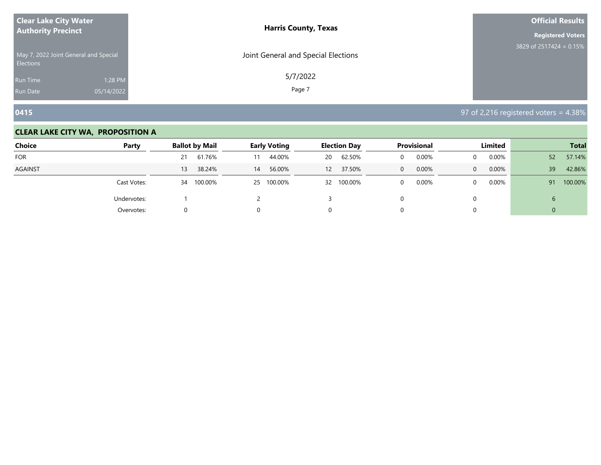| <b>Clear Lake City Water</b>                              | <b>Harris County, Texas</b>         | <b>Official Results</b>    |
|-----------------------------------------------------------|-------------------------------------|----------------------------|
| <b>Authority Precinct</b>                                 |                                     | <b>Registered Voters</b>   |
| May 7, 2022 Joint General and Special<br><b>Elections</b> | Joint General and Special Elections | 3829 of 2517424 = $0.15\%$ |
| 1:28 PM<br><b>Run Time</b>                                | 5/7/2022                            |                            |
| 05/14/2022<br><b>Run Date</b>                             | Page 7                              |                            |

**0415** 97 of 2,216 registered voters = 4.38%

| <b>Choice</b>  | Party       | <b>Ballot by Mail</b> | <b>Early Voting</b> | <b>Election Day</b> | Provisional | Limited               | <b>Total</b>              |  |
|----------------|-------------|-----------------------|---------------------|---------------------|-------------|-----------------------|---------------------------|--|
| <b>FOR</b>     |             | 61.76%<br>21          | 44.00%<br>11        | 62.50%<br>20        | 0.00%       | 0.00%<br>$\Omega$     | 57.14%<br>52 <sup>°</sup> |  |
| <b>AGAINST</b> |             | 38.24%<br>13          | 56.00%<br>14        | 37.50%<br>12        | 0.00%<br>0  | 0.00%<br>$\mathbf{0}$ | 42.86%<br>39              |  |
|                | Cast Votes: | 100.00%<br>34         | 25 100.00%          | 32 100.00%          | 0.00%       | 0.00%<br>$\Omega$     | 100.00%<br>91             |  |
|                | Undervotes: |                       |                     |                     |             |                       | b                         |  |
|                | Overvotes:  | 0                     |                     |                     |             |                       | 0                         |  |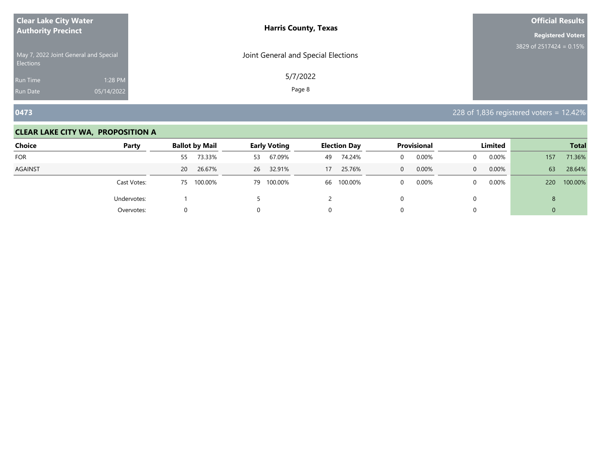| <b>Clear Lake City Water</b>                              | <b>Harris County, Texas</b>         | <b>Official Results</b>    |
|-----------------------------------------------------------|-------------------------------------|----------------------------|
| <b>Authority Precinct</b>                                 |                                     | <b>Registered Voters</b>   |
| May 7, 2022 Joint General and Special<br><b>Elections</b> | Joint General and Special Elections | 3829 of 2517424 = $0.15\%$ |
| 1:28 PM<br><b>Run Time</b>                                | 5/7/2022                            |                            |
| 05/14/2022<br><b>Run Date</b>                             | Page 8                              |                            |

**0473** 228 of 1,836 registered voters = 12.42%

| Choice     | Party       | <b>Ballot by Mail</b> | <b>Early Voting</b> | <b>Election Day</b> | Provisional           | Limited              | <b>Total</b>   |
|------------|-------------|-----------------------|---------------------|---------------------|-----------------------|----------------------|----------------|
| <b>FOR</b> |             | 73.33%<br>55          | 67.09%<br>53        | 74.24%<br>49        | 0.00%                 | $0.00\%$             | 71.36%<br>157  |
| AGAINST    |             | 26.67%<br>20          | 26 32.91%           | 25.76%<br>17        | 0.00%<br>$\mathbf{0}$ | $0.00\%$<br>$\Omega$ | 63<br>28.64%   |
|            | Cast Votes: | 100.00%<br>75         | 79 100.00%          | 100.00%<br>66       | 0.00%<br>0            | $0.00\%$             | 100.00%<br>220 |
|            | Undervotes: |                       |                     |                     |                       |                      | 8              |
|            | Overvotes:  | 0                     |                     |                     |                       |                      | $\overline{0}$ |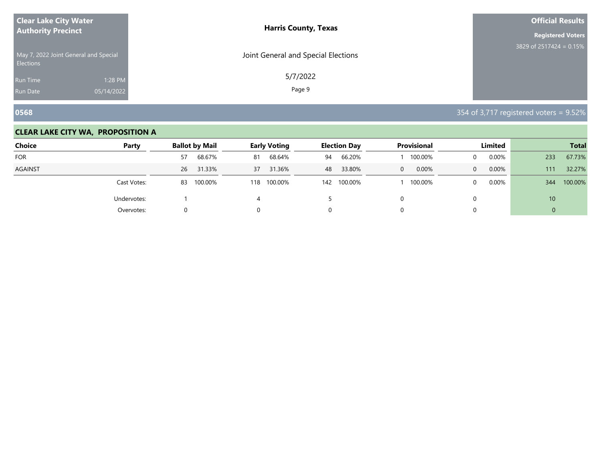| <b>Clear Lake City Water</b>                              | <b>Harris County, Texas</b>         | <b>Official Results</b>    |
|-----------------------------------------------------------|-------------------------------------|----------------------------|
| <b>Authority Precinct</b>                                 |                                     | <b>Registered Voters</b>   |
| May 7, 2022 Joint General and Special<br><b>Elections</b> | Joint General and Special Elections | 3829 of 2517424 = $0.15\%$ |
| 1:28 PM<br><b>Run Time</b>                                | 5/7/2022                            |                            |
| 05/14/2022<br><b>Run Date</b>                             | Page 9                              |                            |

**0568** 354 of 3,717 registered voters = 9.52%

| <b>Choice</b><br>Party |             | <b>Ballot by Mail</b> | <b>Early Voting</b> | <b>Election Day</b> | <b>Provisional</b> | Limited               | <b>Total</b>    |  |
|------------------------|-------------|-----------------------|---------------------|---------------------|--------------------|-----------------------|-----------------|--|
| <b>FOR</b>             |             | 68.67%<br>57          | 68.64%<br>81        | 66.20%<br>94        | 100.00%            | 0.00%<br>$\Omega$     | 67.73%<br>233   |  |
| <b>AGAINST</b>         |             | 31.33%<br>26          | 31.36%<br>37        | 33.80%<br>48        | 0.00%<br>$\Omega$  | 0.00%<br>$\mathbf{0}$ | 32.27%<br>111   |  |
|                        | Cast Votes: | 100.00%<br>83         | 100.00%<br>118      | 100.00%<br>142      | 100.00%            | $0.00\%$<br>$\Omega$  | 100.00%<br>344  |  |
|                        | Undervotes: |                       |                     |                     |                    |                       | 10 <sup>1</sup> |  |
|                        | Overvotes:  |                       |                     |                     |                    |                       | U               |  |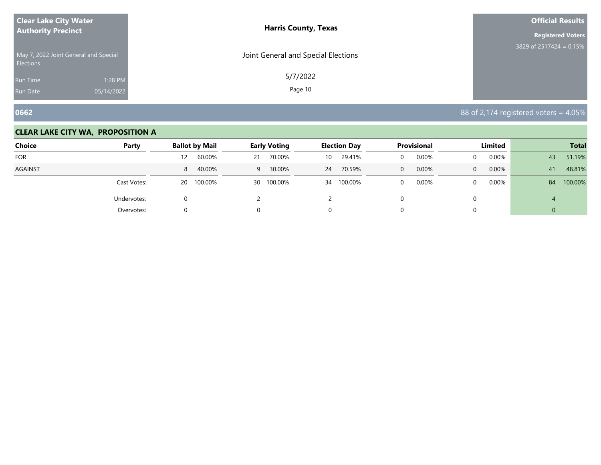| <b>Clear Lake City Water</b>                              | <b>Harris County, Texas</b>         | <b>Official Results</b>    |
|-----------------------------------------------------------|-------------------------------------|----------------------------|
| <b>Authority Precinct</b>                                 |                                     | <b>Registered Voters</b>   |
| May 7, 2022 Joint General and Special<br><b>Elections</b> | Joint General and Special Elections | 3829 of 2517424 = $0.15\%$ |
| 1:28 PM<br>Run Time                                       | 5/7/2022                            |                            |
| 05/14/2022<br><b>Run Date</b>                             | Page 10                             |                            |

**0662** 88 of 2,174 registered voters = 4.05%

| <b>Choice</b><br>Party |             | <b>Ballot by Mail</b> | <b>Early Voting</b> | <b>Election Day</b> | Provisional             | Limited       | <b>Total</b>  |  |
|------------------------|-------------|-----------------------|---------------------|---------------------|-------------------------|---------------|---------------|--|
| <b>FOR</b>             |             | 60.00%<br>12          | 70.00%<br>21        | 29.41%<br>10        | 0.00%<br>0              | 0.00%<br>0    | 51.19%<br>43  |  |
| <b>AGAINST</b>         |             | 40.00%<br>8           | 30.00%<br>9         | 70.59%<br>24        | 0.00%<br>$\overline{0}$ | 0.00%<br>0    | 48.81%<br>41  |  |
|                        | Cast Votes: | 100.00%<br><b>20</b>  | 30 100.00%          | 34 100.00%          | 0.00%<br>$\Omega$       | $0.00\%$<br>0 | 100.00%<br>84 |  |
|                        | Undervotes: | 0                     |                     |                     | U                       | 0             | 4             |  |
|                        | Overvotes:  | 0                     |                     | 0                   |                         | 0             | υ             |  |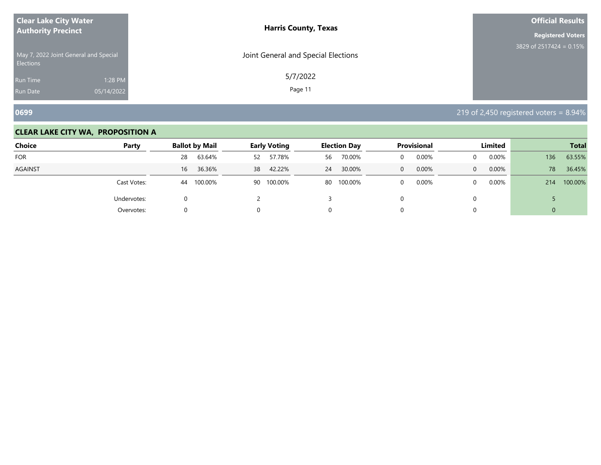| <b>Clear Lake City Water</b>                              | <b>Harris County, Texas</b>         | <b>Official Results</b>    |
|-----------------------------------------------------------|-------------------------------------|----------------------------|
| <b>Authority Precinct</b>                                 |                                     | <b>Registered Voters</b>   |
| May 7, 2022 Joint General and Special<br><b>Elections</b> | Joint General and Special Elections | 3829 of 2517424 = $0.15\%$ |
| 1:28 PM<br>Run Time                                       | 5/7/2022                            |                            |
| 05/14/2022<br><b>Run Date</b>                             | Page 11                             |                            |

**0699** 219 of 2,450 registered voters = 8.94%

| <b>Choice</b><br>Party |             | <b>Ballot by Mail</b> |    | <b>Early Voting</b> |    | <b>Election Day</b> |          | <b>Provisional</b> |          | Limited  |     | <b>Total</b> |  |
|------------------------|-------------|-----------------------|----|---------------------|----|---------------------|----------|--------------------|----------|----------|-----|--------------|--|
| <b>FOR</b>             |             | 63.64%<br>28          | 52 | 57.78%              | 56 | 70.00%              | $\Omega$ | 0.00%              | 0        | 0.00%    | 136 | 63.55%       |  |
| AGAINST                |             | 36.36%<br>16          | 38 | 42.22%              | 24 | 30.00%              | $\Omega$ | 0.00%              | $\Omega$ | 0.00%    | 78  | 36.45%       |  |
|                        | Cast Votes: | 100.00%<br>44         |    | 90 100.00%          | 80 | 100.00%             | $\Omega$ | 0.00%              | $\Omega$ | $0.00\%$ | 214 | 100.00%      |  |
|                        | Undervotes: | 0                     |    |                     |    |                     |          |                    |          |          |     |              |  |
|                        | Overvotes:  | 0                     | 0  |                     | U  |                     |          |                    |          |          | 0   |              |  |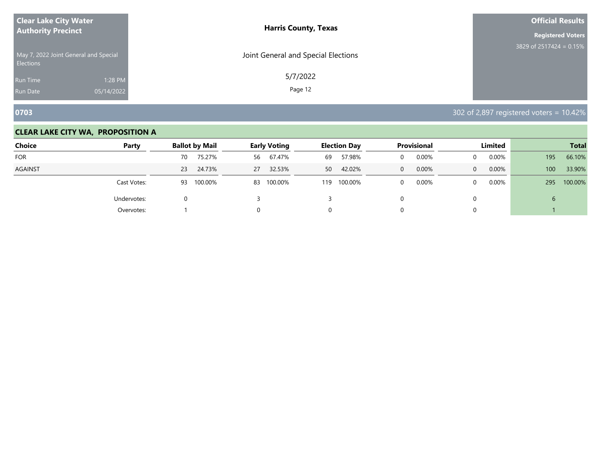| <b>Clear Lake City Water</b>                              |            | <b>Harris County, Texas</b>         | <b>Official Results</b>   |
|-----------------------------------------------------------|------------|-------------------------------------|---------------------------|
| <b>Authority Precinct</b>                                 |            |                                     | <b>Registered Voters</b>  |
| May 7, 2022 Joint General and Special<br><b>Elections</b> |            | Joint General and Special Elections | 3829 of 2517424 = $0.15%$ |
| <b>Run Time</b>                                           | 1:28 PM    | 5/7/2022                            |                           |
| <b>Run Date</b>                                           | 05/14/2022 | Page 12                             |                           |

**0703** 302 of 2,897 registered voters = 10.42%

| <b>Choice</b>  | Party       |    | <b>Ballot by Mail</b> | <b>Early Voting</b> |         |     | <b>Election Day</b> |          | <b>Provisional</b> |              | Limited  |     | <b>Total</b> |  |
|----------------|-------------|----|-----------------------|---------------------|---------|-----|---------------------|----------|--------------------|--------------|----------|-----|--------------|--|
| FOR            |             | 70 | 75.27%                | 56                  | 67.47%  | 69  | 57.98%              |          | 0.00%              | $\Omega$     | 0.00%    | 195 | 66.10%       |  |
| <b>AGAINST</b> |             | 23 | 24.73%                | 27                  | 32.53%  | 50  | 42.02%              | $\Omega$ | 0.00%              | $\mathbf{0}$ | 0.00%    | 100 | 33.90%       |  |
|                | Cast Votes: | 93 | 100.00%               | 83                  | 100.00% | 119 | 100.00%             |          | 0.00%              | $\Omega$     | $0.00\%$ | 295 | 100.00%      |  |
|                | Undervotes: |    |                       |                     |         |     |                     |          |                    |              |          | ь   |              |  |
|                | Overvotes:  |    |                       |                     |         |     |                     |          |                    |              |          |     |              |  |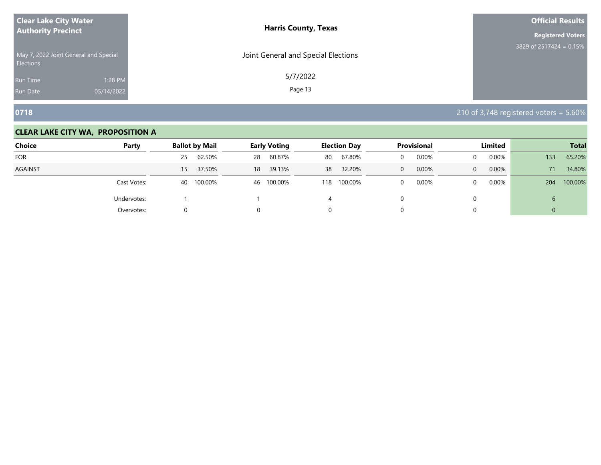| <b>Clear Lake City Water</b>                              | <b>Harris County, Texas</b>         | <b>Official Results</b>   |
|-----------------------------------------------------------|-------------------------------------|---------------------------|
| <b>Authority Precinct</b>                                 |                                     | <b>Registered Voters</b>  |
| May 7, 2022 Joint General and Special<br><b>Elections</b> | Joint General and Special Elections | 3829 of 2517424 = $0.15%$ |
| 1:28 PM<br>Run Time                                       | 5/7/2022                            |                           |
| 05/14/2022<br><b>Run Date</b>                             | Page 13                             |                           |

**0718** 210 of 3,748 registered voters = 5.60%

| <b>Choice</b>  | Party       | <b>Ballot by Mail</b>     |    | <b>Early Voting</b> |     | <b>Election Day</b> |   | <b>Provisional</b> |              | Limited  |               | <b>Total</b> |
|----------------|-------------|---------------------------|----|---------------------|-----|---------------------|---|--------------------|--------------|----------|---------------|--------------|
| <b>FOR</b>     |             | 62.50%<br>25              | 28 | 60.87%              | 80  | 67.80%              | 0 | 0.00%              | 0            | 0.00%    | 133           | 65.20%       |
| <b>AGAINST</b> |             | 37.50%<br>15 <sup>1</sup> | 18 | 39.13%              | 38  | 32.20%              | 0 | 0.00%              | $\mathbf{0}$ | 0.00%    | 71            | 34.80%       |
|                | Cast Votes: | 100.00%<br>40             |    | 46 100.00%          | 118 | 100.00%             | 0 | 0.00%              | $\Omega$     | $0.00\%$ | 204           | 100.00%      |
|                | Undervotes: |                           |    |                     |     |                     |   |                    | 0            |          | $\mathfrak b$ |              |
|                | Overvotes:  |                           |    |                     | 0   |                     |   |                    | $\Omega$     |          | $\Omega$      |              |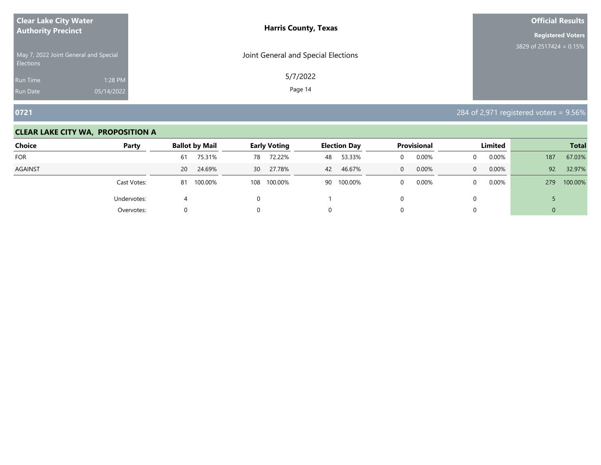| <b>Clear Lake City Water</b>                              |            | <b>Harris County, Texas</b>         | <b>Official Results</b>    |
|-----------------------------------------------------------|------------|-------------------------------------|----------------------------|
| <b>Authority Precinct</b>                                 |            |                                     | <b>Registered Voters</b>   |
| May 7, 2022 Joint General and Special<br><b>Elections</b> |            | Joint General and Special Elections | 3829 of 2517424 = $0.15\%$ |
| <b>Run Time</b>                                           | 1:28 PM    | 5/7/2022                            |                            |
| <b>Run Date</b>                                           | 05/14/2022 | Page 14                             |                            |

**0721** 284 of 2,971 registered voters = 9.56%

| <b>Choice</b>  | Party       |    | <b>Ballot by Mail</b> |     | <b>Early Voting</b> |    | <b>Election Day</b> |   | Provisional |              | Limited  |                | <b>Total</b> |
|----------------|-------------|----|-----------------------|-----|---------------------|----|---------------------|---|-------------|--------------|----------|----------------|--------------|
| <b>FOR</b>     |             | 61 | 75.31%                | 78  | 72.22%              | 48 | 53.33%              |   | 0.00%       |              | $0.00\%$ | 187            | 67.03%       |
| <b>AGAINST</b> |             | 20 | 24.69%                |     | 30 27.78%           | 42 | 46.67%              | 0 | 0.00%       | $\mathbf{0}$ | $0.00\%$ | 92             | 32.97%       |
|                | Cast Votes: | 81 | 100.00%               | 108 | 100.00%             |    | 90 100.00%          | 0 | 0.00%       |              | $0.00\%$ | 279            | 100.00%      |
|                | Undervotes: | 4  |                       |     |                     |    |                     |   |             |              |          |                |              |
|                | Overvotes:  |    |                       |     |                     |    |                     |   |             |              |          | $\overline{0}$ |              |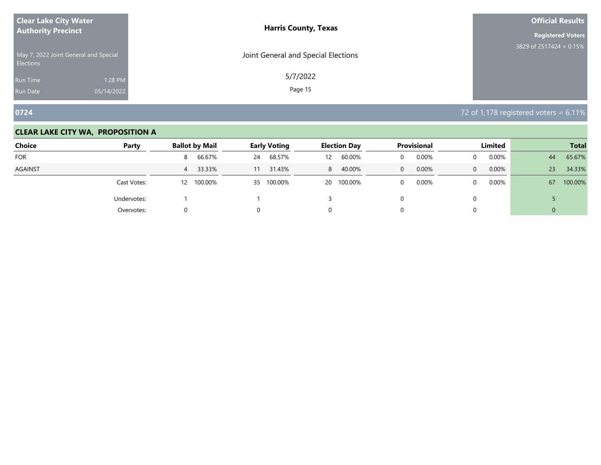| <b>Clear Lake City Water</b>                              |            | <b>Harris County, Texas</b>         | <b>Official Results</b>   |
|-----------------------------------------------------------|------------|-------------------------------------|---------------------------|
| <b>Authority Precinct</b>                                 |            |                                     | <b>Registered Voters</b>  |
| May 7, 2022 Joint General and Special<br><b>Elections</b> |            | Joint General and Special Elections | 3829 of 2517424 = $0.15%$ |
| Run Time                                                  | 1:28 PM    | 5/7/2022                            |                           |
| <b>Run Date</b>                                           | 05/14/2022 | Page 15                             |                           |

**0724** 72 of 1,178 registered voters = 6.11%

| Choice     | Party       | <b>Ballot by Mail</b> | <b>Early Voting</b> | <b>Election Day</b>         | Provisional       | Limited              | <b>Total</b>   |
|------------|-------------|-----------------------|---------------------|-----------------------------|-------------------|----------------------|----------------|
| <b>FOR</b> |             | 66.67%<br>8           | 68.57%<br>24        | 60.00%<br>$12 \overline{ }$ | 0.00%             | $0.00\%$             | 65.67%<br>44   |
| AGAINST    |             | 33.33%<br>4           | 31.43%<br>11        | 40.00%<br>8                 | 0.00%<br>$\Omega$ | $0.00\%$<br>$\Omega$ | 34.33%<br>23   |
|            | Cast Votes: | 100.00%<br>12         | 35 100.00%          | 20 100.00%                  | 0.00%<br>$\Omega$ | $0.00\%$             | 100.00%<br>67  |
|            | Undervotes: |                       |                     |                             |                   |                      |                |
|            | Overvotes:  | 0                     |                     |                             |                   |                      | $\overline{0}$ |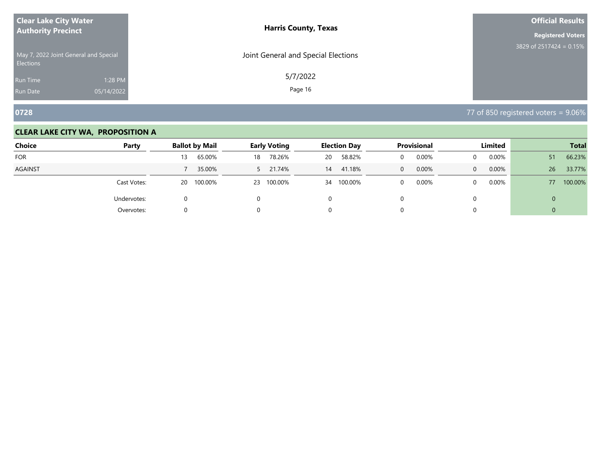| <b>Clear Lake City Water</b>                              | <b>Harris County, Texas</b>         | <b>Official Results</b>    |
|-----------------------------------------------------------|-------------------------------------|----------------------------|
| <b>Authority Precinct</b>                                 |                                     | <b>Registered Voters</b>   |
| May 7, 2022 Joint General and Special<br><b>Elections</b> | Joint General and Special Elections | 3829 of 2517424 = $0.15\%$ |
| 1:28 PM<br><b>Run Time</b>                                | 5/7/2022                            |                            |
| 05/14/2022<br><b>Run Date</b>                             | Page 16                             |                            |

**0728** 77 of 850 registered voters = 9.06%

| <b>Choice</b>  | Party       | <b>Ballot by Mail</b> | <b>Early Voting</b> | <b>Election Day</b> | Provisional       | <b>Limited</b>       | <b>Total</b>  |
|----------------|-------------|-----------------------|---------------------|---------------------|-------------------|----------------------|---------------|
| <b>FOR</b>     |             | 65.00%<br>13          | 78.26%<br>18        | 58.82%<br>20        | 0.00%             | $0.00\%$<br>0        | 66.23%<br>51  |
| <b>AGAINST</b> |             | 35.00%                | 5 21.74%            | 41.18%<br>14        | 0.00%<br>$\Omega$ | 0.00%<br>$\Omega$    | 33.77%<br>26  |
|                | Cast Votes: | 100.00%<br>20         | 100.00%<br>23       | 34 100.00%          | 0.00%             | $0.00\%$<br>$\Omega$ | 100.00%<br>77 |
|                | Undervotes: | U                     |                     |                     |                   |                      | 0             |
|                | Overvotes:  |                       |                     |                     |                   |                      | U             |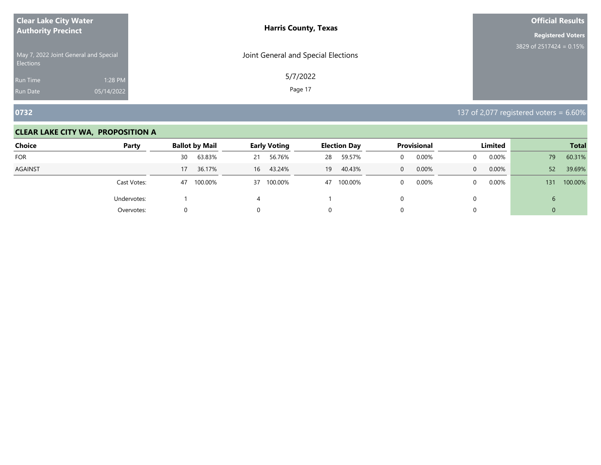| <b>Clear Lake City Water</b>                              |            | <b>Harris County, Texas</b>         | <b>Official Results</b>    |
|-----------------------------------------------------------|------------|-------------------------------------|----------------------------|
| <b>Authority Precinct</b>                                 |            |                                     | <b>Registered Voters</b>   |
| May 7, 2022 Joint General and Special<br><b>Elections</b> |            | Joint General and Special Elections | 3829 of 2517424 = $0.15\%$ |
| <b>Run Time</b>                                           | 1:28 PM    | 5/7/2022                            |                            |
| <b>Run Date</b>                                           | 05/14/2022 | Page 17                             |                            |

**0732** 137 of 2,077 registered voters = 6.60%

| <b>Choice</b>  | Party       | <b>Ballot by Mail</b> | <b>Early Voting</b> | <b>Election Day</b> | Provisional       | Limited               | <b>Total</b>   |
|----------------|-------------|-----------------------|---------------------|---------------------|-------------------|-----------------------|----------------|
| <b>FOR</b>     |             | 63.83%<br>30          | 56.76%<br>21        | 59.57%<br>28        | 0.00%             | 0.00%<br>$\Omega$     | 60.31%<br>79   |
| <b>AGAINST</b> |             | 36.17%<br>17          | 16 43.24%           | 40.43%<br>19        | 0.00%<br>$\Omega$ | 0.00%<br>$\mathbf{0}$ | 52<br>39.69%   |
|                | Cast Votes: | 100.00%<br>47         | 37 100.00%          | 100.00%<br>47       | 0.00%             | 0.00%<br>$\Omega$     | 100.00%<br>131 |
|                | Undervotes: |                       | 4                   |                     |                   |                       | b              |
|                | Overvotes:  | 0                     |                     |                     |                   |                       | 0              |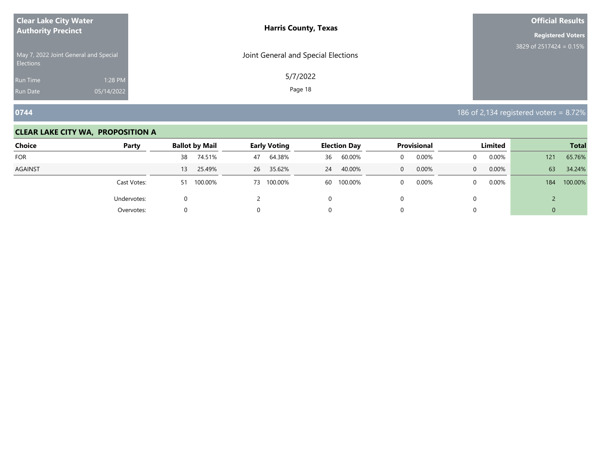| <b>Clear Lake City Water</b>                              | <b>Harris County, Texas</b>         | <b>Official Results</b>    |
|-----------------------------------------------------------|-------------------------------------|----------------------------|
| <b>Authority Precinct</b>                                 |                                     | <b>Registered Voters</b>   |
| May 7, 2022 Joint General and Special<br><b>Elections</b> | Joint General and Special Elections | 3829 of 2517424 = $0.15\%$ |
| 1:28 PM<br>Run Time                                       | 5/7/2022                            |                            |
| 05/14/2022<br><b>Run Date</b>                             | Page 18                             |                            |

**0744 186 of 2,134 registered voters = 8.72%** 

| <b>Choice</b> | Party       | <b>Ballot by Mail</b> | <b>Early Voting</b> | <b>Election Day</b> | <b>Provisional</b>      | <b>Limited</b>        | <b>Total</b>   |
|---------------|-------------|-----------------------|---------------------|---------------------|-------------------------|-----------------------|----------------|
| <b>FOR</b>    |             | 74.51%<br>38          | 64.38%<br>47        | 60.00%<br>36        | 0.00%<br>0              | 0.00%<br>0            | 65.76%<br>121  |
| AGAINST       |             | 25.49%<br>13          | 26 35.62%           | 40.00%<br>24        | 0.00%<br>$\overline{0}$ | 0.00%<br>$\mathbf{0}$ | 34.24%<br>63   |
|               | Cast Votes: | 100.00%<br>51         | 73 100.00%          | 100.00%<br>60       | 0.00%<br>0              | 0.00%<br>0            | 100.00%<br>184 |
|               | Undervotes: | 0                     |                     | 0                   |                         | 0                     |                |
|               | Overvotes:  | 0                     | 0                   | U.                  |                         |                       | 0              |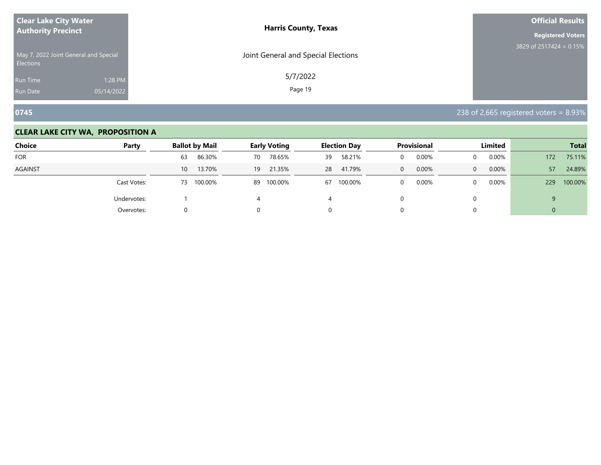| <b>Clear Lake City Water</b><br><b>Authority Precinct</b> |            | <b>Harris County, Texas</b>         | <b>Official Results</b>    |
|-----------------------------------------------------------|------------|-------------------------------------|----------------------------|
|                                                           |            |                                     | <b>Registered Voters</b>   |
| May 7, 2022 Joint General and Special<br><b>Elections</b> |            | Joint General and Special Elections | 3829 of 2517424 = $0.15\%$ |
| Run Time                                                  | 1:28 PM    | 5/7/2022                            |                            |
| <b>Run Date</b>                                           | 05/14/2022 | Page 19                             |                            |

**0745** 238 of 2,665 registered voters = 8.93%

| <b>Choice</b>  | Party       | <b>Ballot by Mail</b>     | <b>Early Voting</b> |    | <b>Election Day</b> |          | <b>Provisional</b> |              | Limited  |     | <b>Total</b> |
|----------------|-------------|---------------------------|---------------------|----|---------------------|----------|--------------------|--------------|----------|-----|--------------|
| <b>FOR</b>     |             | 86.30%<br>63              | 78.65%<br>70        | 39 | 58.21%              |          | 0.00%              | $\Omega$     | 0.00%    | 172 | 75.11%       |
| <b>AGAINST</b> |             | 13.70%<br>10 <sup>°</sup> | 21.35%<br>19        | 28 | 41.79%              | $\Omega$ | 0.00%              | $\mathbf{0}$ | 0.00%    | 57  | 24.89%       |
|                | Cast Votes: | 100.00%<br>73             | 89 100.00%          | 67 | 100.00%             |          | 0.00%              | $\Omega$     | $0.00\%$ | 229 | 100.00%      |
|                | Undervotes: |                           |                     | 4  |                     |          |                    |              |          |     |              |
|                | Overvotes:  |                           |                     |    |                     |          |                    |              |          | U   |              |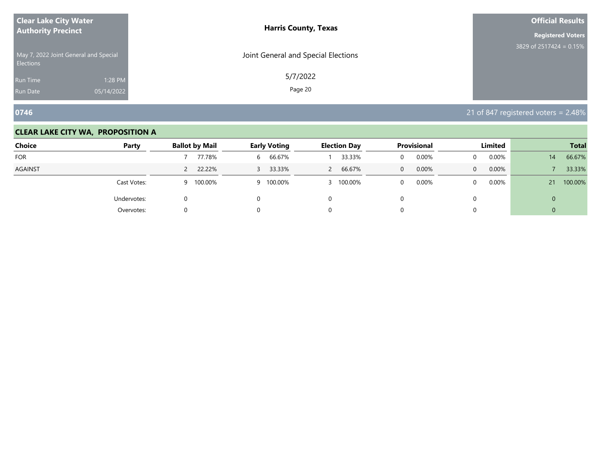| <b>Clear Lake City Water</b>                              | <b>Harris County, Texas</b>         | <b>Official Results</b>    |
|-----------------------------------------------------------|-------------------------------------|----------------------------|
| <b>Authority Precinct</b>                                 |                                     | <b>Registered Voters</b>   |
| May 7, 2022 Joint General and Special<br><b>Elections</b> | Joint General and Special Elections | 3829 of 2517424 = $0.15\%$ |
| 1:28 PM<br>Run Time                                       | 5/7/2022                            |                            |
| 05/14/2022<br><b>Run Date</b>                             | Page 20                             |                            |

**0746** 21 of 847 registered voters = 2.48%

| <b>Choice</b>  | Party       | <b>Ballot by Mail</b> | <b>Early Voting</b> | <b>Election Day</b>    | <b>Provisional</b>      | Limited               | <b>Total</b>  |
|----------------|-------------|-----------------------|---------------------|------------------------|-------------------------|-----------------------|---------------|
| <b>FOR</b>     |             | 77.78%                | 66.67%<br>6         | 33.33%                 | 0.00%<br>$\overline{0}$ | 0.00%                 | 66.67%<br>14  |
| <b>AGAINST</b> |             | 22.22%<br>$\sim$      | 33.33%<br>3         | 66.67%<br>$\mathsf{2}$ | 0.00%<br>$\overline{0}$ | 0.00%<br>$\mathbf{0}$ | 33.33%        |
|                | Cast Votes: | 100.00%<br>q          | 9 100.00%           | 3 100.00%              | 0.00%<br>$\Omega$       | 0.00%                 | 100.00%<br>21 |
|                | Undervotes: |                       | 0                   |                        |                         |                       | 0             |
|                | Overvotes:  | U                     |                     |                        |                         |                       |               |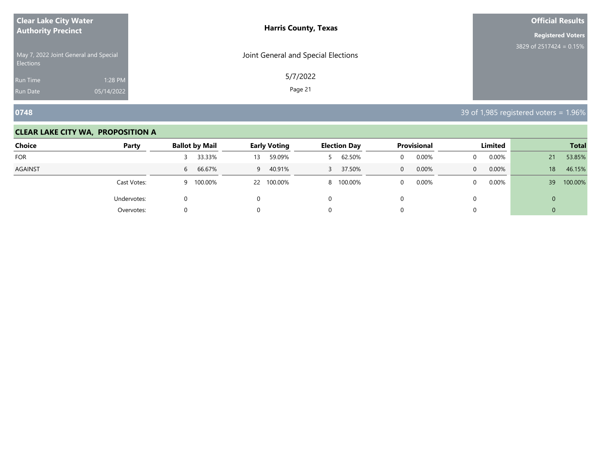| <b>Clear Lake City Water</b><br><b>Authority Precinct</b> |            | <b>Harris County, Texas</b>         | <b>Official Results</b>   |
|-----------------------------------------------------------|------------|-------------------------------------|---------------------------|
|                                                           |            |                                     | <b>Registered Voters</b>  |
| May 7, 2022 Joint General and Special<br><b>Elections</b> |            | Joint General and Special Elections | 3829 of 2517424 = $0.15%$ |
| Run Time                                                  | 1:28 PM    | 5/7/2022                            |                           |
| <b>Run Date</b>                                           | 05/14/2022 | Page 21                             |                           |

**0748** 39 of 1,985 registered voters = 1.96%

| <b>Choice</b>  | Party       | <b>Ballot by Mail</b> | <b>Early Voting</b> | <b>Election Day</b> | <b>Provisional</b>    | Limited               | <b>Total</b>  |
|----------------|-------------|-----------------------|---------------------|---------------------|-----------------------|-----------------------|---------------|
| <b>FOR</b>     |             | 33.33%                | 59.09%<br>13        | 62.50%              | 0.00%                 | 0.00%<br>0            | 53.85%<br>21  |
| <b>AGAINST</b> |             | 66.67%<br>6           | 40.91%<br>9         | 37.50%<br>3         | 0.00%<br>$\mathbf{0}$ | 0.00%<br>$\mathbf{0}$ | 46.15%<br>18  |
|                | Cast Votes: | 100.00%<br>9          | 22 100.00%          | 100.00%<br>8        | 0.00%                 | 0.00%<br>0            | 100.00%<br>39 |
|                | Undervotes: | 0                     | 0                   | 0                   |                       | 0                     | 0             |
|                | Overvotes:  | 0                     | 0                   | 0                   |                       |                       | U             |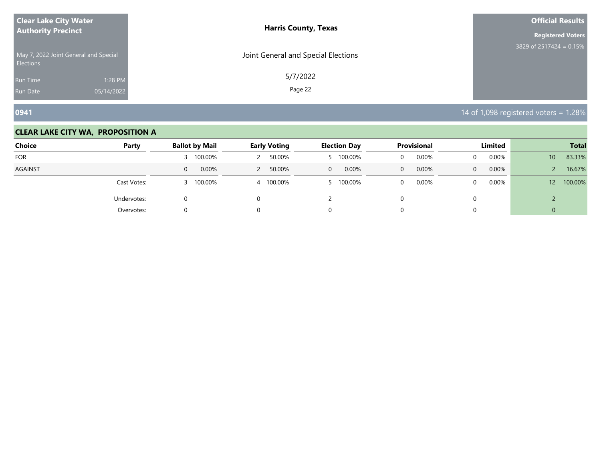| <b>Clear Lake City Water</b>                              | <b>Harris County, Texas</b>         | <b>Official Results</b>   |
|-----------------------------------------------------------|-------------------------------------|---------------------------|
| <b>Authority Precinct</b>                                 |                                     | <b>Registered Voters</b>  |
| May 7, 2022 Joint General and Special<br><b>Elections</b> | Joint General and Special Elections | 3829 of 2517424 = $0.15%$ |
| 1:28 PM<br><b>Run Time</b>                                | 5/7/2022                            |                           |
| 05/14/2022<br><b>Run Date</b>                             | Page 22                             |                           |

**0941** 14 of 1,098 registered voters = 1.28%

| <b>Choice</b>  | Party       | <b>Ballot by Mail</b> | <b>Early Voting</b> | <b>Election Day</b>     | <b>Provisional</b> | Limited               | <b>Total</b>               |
|----------------|-------------|-----------------------|---------------------|-------------------------|--------------------|-----------------------|----------------------------|
| <b>FOR</b>     |             | 100.00%               | 50.00%              | 100.00%<br>5.           | 0.00%              | 0.00%<br>$\Omega$     | 83.33%<br>10 <sup>°</sup>  |
| <b>AGAINST</b> |             | 0.00%<br>$\mathbf{0}$ | 50.00%              | 0.00%<br>$\overline{0}$ | 0.00%<br>$\Omega$  | 0.00%<br>$\mathbf{0}$ | 16.67%                     |
|                | Cast Votes: | 100.00%               | 4 100.00%           | 100.00%                 | 0.00%              | $0.00\%$<br>$\Omega$  | 100.00%<br>12 <sup>2</sup> |
|                | Undervotes: |                       |                     |                         |                    |                       |                            |
|                | Overvotes:  |                       |                     |                         |                    |                       | U                          |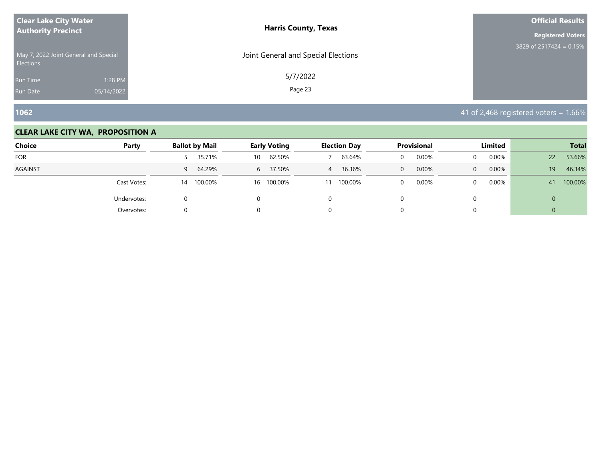| <b>Clear Lake City Water</b><br><b>Authority Precinct</b> |            | <b>Harris County, Texas</b>         | <b>Official Results</b>    |
|-----------------------------------------------------------|------------|-------------------------------------|----------------------------|
|                                                           |            |                                     | <b>Registered Voters</b>   |
| May 7, 2022 Joint General and Special<br><b>Elections</b> |            | Joint General and Special Elections | 3829 of 2517424 = $0.15\%$ |
| Run Time                                                  | 1:28 PM    | 5/7/2022                            |                            |
| <b>Run Date</b>                                           | 05/14/2022 | Page 23                             |                            |

**1062** 41 of 2,468 registered voters = 1.66%

| <b>Choice</b> | Party       | <b>Ballot by Mail</b> | <b>Early Voting</b> | <b>Election Day</b>      | <b>Provisional</b>    | Limited               | <b>Total</b>  |
|---------------|-------------|-----------------------|---------------------|--------------------------|-----------------------|-----------------------|---------------|
| <b>FOR</b>    |             | 35.71%                | 62.50%<br>10        | 63.64%                   | 0.00%                 | 0.00%<br>0            | 53.66%<br>22  |
| AGAINST       |             | 64.29%<br>9           | 6 37.50%            | 36.36%<br>$\overline{4}$ | 0.00%<br>$\mathbf{0}$ | 0.00%<br>$\mathbf{0}$ | 46.34%<br>19  |
|               | Cast Votes: | 100.00%<br>14         | 16 100.00%          | 100.00%<br>11            | 0.00%                 | 0.00%<br>0            | 100.00%<br>41 |
|               | Undervotes: | 0                     | 0                   | 0                        |                       | 0                     | 0             |
|               | Overvotes:  | 0                     | 0                   | U.                       |                       |                       | 0             |